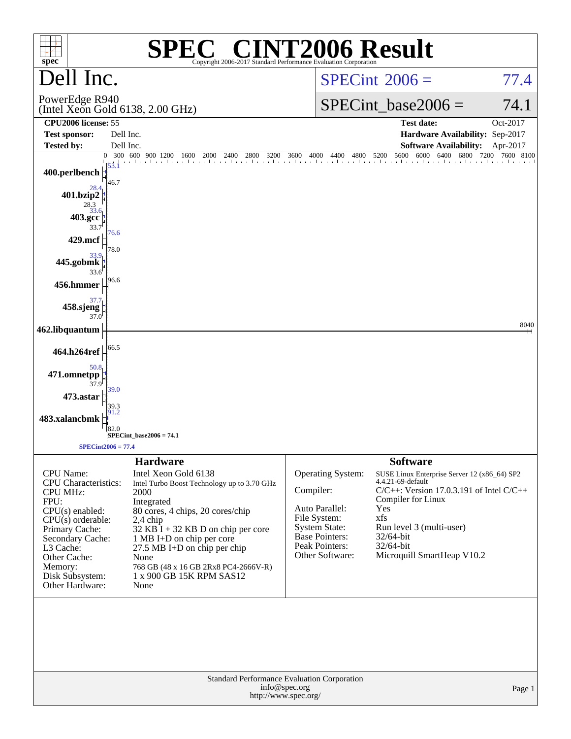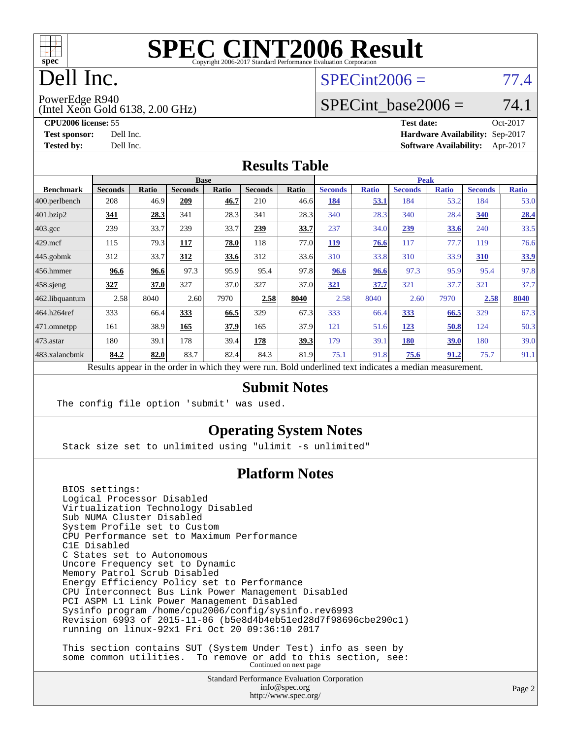

# Dell Inc.

## $SPECint2006 = 77.4$  $SPECint2006 = 77.4$

PowerEdge R940

(Intel Xeon Gold 6138, 2.00 GHz)

SPECint base2006 =  $74.1$ 

**[CPU2006 license:](http://www.spec.org/auto/cpu2006/Docs/result-fields.html#CPU2006license)** 55 **[Test date:](http://www.spec.org/auto/cpu2006/Docs/result-fields.html#Testdate)** Oct-2017 **[Test sponsor:](http://www.spec.org/auto/cpu2006/Docs/result-fields.html#Testsponsor)** Dell Inc. **[Hardware Availability:](http://www.spec.org/auto/cpu2006/Docs/result-fields.html#HardwareAvailability)** Sep-2017 **[Tested by:](http://www.spec.org/auto/cpu2006/Docs/result-fields.html#Testedby)** Dell Inc. **[Software Availability:](http://www.spec.org/auto/cpu2006/Docs/result-fields.html#SoftwareAvailability)** Apr-2017

#### **[Results Table](http://www.spec.org/auto/cpu2006/Docs/result-fields.html#ResultsTable)**

|                                                                                                                                               | <b>Base</b>    |       |                |       |                |             |                | <b>Peak</b>  |                |              |                |              |  |
|-----------------------------------------------------------------------------------------------------------------------------------------------|----------------|-------|----------------|-------|----------------|-------------|----------------|--------------|----------------|--------------|----------------|--------------|--|
| <b>Benchmark</b>                                                                                                                              | <b>Seconds</b> | Ratio | <b>Seconds</b> | Ratio | <b>Seconds</b> | Ratio       | <b>Seconds</b> | <b>Ratio</b> | <b>Seconds</b> | <b>Ratio</b> | <b>Seconds</b> | <b>Ratio</b> |  |
| 400.perlbench                                                                                                                                 | 208            | 46.9  | 209            | 46.7  | 210            | 46.6        | 184            | 53.1         | 184            | 53.2         | 184            | 53.0         |  |
| 401.bzip2                                                                                                                                     | 341            | 28.3  | 341            | 28.3  | 341            | 28.3        | 340            | 28.3         | 340            | 28.4         | 340            | 28.4         |  |
| $403.\text{gcc}$                                                                                                                              | 239            | 33.7  | 239            | 33.7  | 239            | 33.7        | 237            | 34.0         | 239            | 33.6         | 240            | 33.5         |  |
| $429$ .mcf                                                                                                                                    | 115            | 79.3  | 117            | 78.0  | 118            | 77.0        | 119            | 76.6         | 117            | 77.7         | 119            | 76.6         |  |
| $445$ .gobmk                                                                                                                                  | 312            | 33.7  | 312            | 33.6  | 312            | 33.6        | 310            | 33.8         | 310            | 33.9         | 310            | 33.9         |  |
| 456.hmmer                                                                                                                                     | 96.6           | 96.6  | 97.3           | 95.9  | 95.4           | 97.8        | 96.6           | 96.6         | 97.3           | 95.9         | 95.4           | 97.8         |  |
| $458$ .sjeng                                                                                                                                  | 327            | 37.0  | 327            | 37.0  | 327            | 37.0        | <u>321</u>     | 37.7         | 321            | 37.7         | 321            | 37.7         |  |
| 462.libquantum                                                                                                                                | 2.58           | 8040  | 2.60           | 7970  | 2.58           | 8040        | 2.58           | 8040         | 2.60           | 7970         | 2.58           | 8040         |  |
| 464.h264ref                                                                                                                                   | 333            | 66.4  | 333            | 66.5  | 329            | 67.3        | 333            | 66.4         | 333            | 66.5         | 329            | 67.3         |  |
| 471.omnetpp                                                                                                                                   | 161            | 38.9  | 165            | 37.9  | 165            | 37.9        | 121            | 51.6         | 123            | 50.8         | 124            | 50.3         |  |
| 473.astar                                                                                                                                     | 180            | 39.1  | 178            | 39.4  | 178            | <u>39.3</u> | 179            | 39.1         | 180            | 39.0         | 180            | 39.0         |  |
| 483.xalancbmk                                                                                                                                 | 84.2           | 82.0  | 83.7           | 82.4  | 84.3           | 81.9        | 75.1           | 91.8         | 75.6           | 91.2         | 75.7           | 91.1         |  |
| 2.11<br>$\mathbf{D}$ . $\mathbf{L}$<br>$-1.1.1$ $-1.1.1.1$<br><b>Allege Strategies</b><br>$D$ and $L$ and $L$ and $L$ and $L$ and $L$ and $L$ |                |       |                |       |                |             |                |              |                |              |                |              |  |

Results appear in the [order in which they were run.](http://www.spec.org/auto/cpu2006/Docs/result-fields.html#RunOrder) Bold underlined text [indicates a median measurement.](http://www.spec.org/auto/cpu2006/Docs/result-fields.html#Median)

### **[Submit Notes](http://www.spec.org/auto/cpu2006/Docs/result-fields.html#SubmitNotes)**

The config file option 'submit' was used.

### **[Operating System Notes](http://www.spec.org/auto/cpu2006/Docs/result-fields.html#OperatingSystemNotes)**

Stack size set to unlimited using "ulimit -s unlimited"

### **[Platform Notes](http://www.spec.org/auto/cpu2006/Docs/result-fields.html#PlatformNotes)**

 BIOS settings: Logical Processor Disabled Virtualization Technology Disabled Sub NUMA Cluster Disabled System Profile set to Custom CPU Performance set to Maximum Performance C1E Disabled C States set to Autonomous Uncore Frequency set to Dynamic Memory Patrol Scrub Disabled Energy Efficiency Policy set to Performance CPU Interconnect Bus Link Power Management Disabled PCI ASPM L1 Link Power Management Disabled Sysinfo program /home/cpu2006/config/sysinfo.rev6993 Revision 6993 of 2015-11-06 (b5e8d4b4eb51ed28d7f98696cbe290c1) running on linux-92x1 Fri Oct 20 09:36:10 2017 This section contains SUT (System Under Test) info as seen by

some common utilities. To remove or add to this section, see:<br>Continued on next page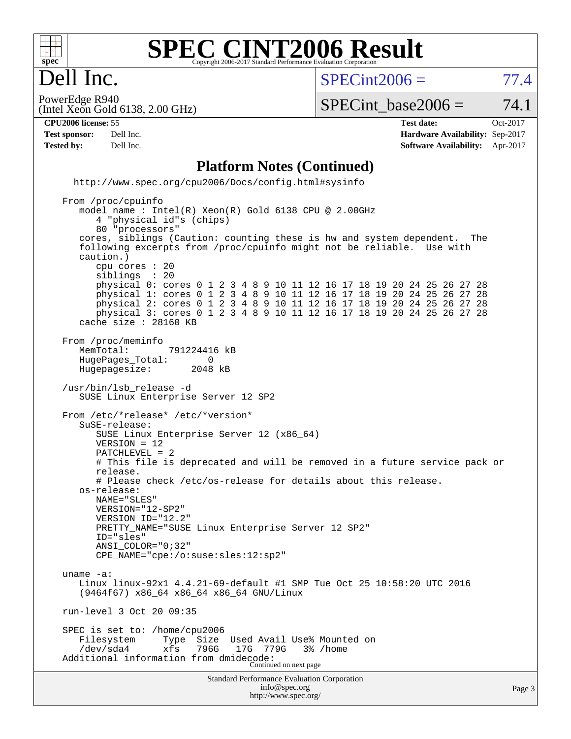

### **[SPEC CINT2006 Result](http://www.spec.org/auto/cpu2006/Docs/result-fields.html#SPECCINT2006Result)** Copyright 2006-2017 Standard Performance Evaluation Corporation

 $SPECint2006 = 77.4$  $SPECint2006 = 77.4$ 

(Intel Xeon Gold 6138, 2.00 GHz) PowerEdge R940

SPECint base2006 =  $74.1$ 

Dell Inc.

**[CPU2006 license:](http://www.spec.org/auto/cpu2006/Docs/result-fields.html#CPU2006license)** 55 **[Test date:](http://www.spec.org/auto/cpu2006/Docs/result-fields.html#Testdate)** Oct-2017 **[Test sponsor:](http://www.spec.org/auto/cpu2006/Docs/result-fields.html#Testsponsor)** Dell Inc. **[Hardware Availability:](http://www.spec.org/auto/cpu2006/Docs/result-fields.html#HardwareAvailability)** Sep-2017 **[Tested by:](http://www.spec.org/auto/cpu2006/Docs/result-fields.html#Testedby)** Dell Inc. **[Software Availability:](http://www.spec.org/auto/cpu2006/Docs/result-fields.html#SoftwareAvailability)** Apr-2017

#### **[Platform Notes \(Continued\)](http://www.spec.org/auto/cpu2006/Docs/result-fields.html#PlatformNotes)**

Standard Performance Evaluation Corporation [info@spec.org](mailto:info@spec.org) <http://www.spec.org/> <http://www.spec.org/cpu2006/Docs/config.html#sysinfo> From /proc/cpuinfo model name : Intel(R) Xeon(R) Gold 6138 CPU @ 2.00GHz 4 "physical id"s (chips) 80 "processors" cores, siblings (Caution: counting these is hw and system dependent. The following excerpts from /proc/cpuinfo might not be reliable. Use with caution.) cpu cores : 20 siblings physical 0: cores 0 1 2 3 4 8 9 10 11 12 16 17 18 19 20 24 25 26 27 28 physical 1: cores 0 1 2 3 4 8 9 10 11 12 16 17 18 19 20 24 25 26 27 28 physical 2: cores 0 1 2 3 4 8 9 10 11 12 16 17 18 19 20 24 25 26 27 28 physical 3: cores 0 1 2 3 4 8 9 10 11 12 16 17 18 19 20 24 25 26 27 28 cache size : 28160 KB From /proc/meminfo MemTotal: 791224416 kB<br>HugePages Total: 0 HugePages\_Total: 0<br>Hugepagesize: 2048 kB Hugepagesize: /usr/bin/lsb\_release -d SUSE Linux Enterprise Server 12 SP2 From /etc/\*release\* /etc/\*version\* SuSE-release: SUSE Linux Enterprise Server 12 (x86\_64) VERSION = 12 PATCHLEVEL = 2 # This file is deprecated and will be removed in a future service pack or release. # Please check /etc/os-release for details about this release. os-release: NAME="SLES" VERSION="12-SP2" VERSION\_ID="12.2" PRETTY\_NAME="SUSE Linux Enterprise Server 12 SP2" ID="sles" ANSI\_COLOR="0;32" CPE\_NAME="cpe:/o:suse:sles:12:sp2" uname -a: Linux linux-92x1 4.4.21-69-default #1 SMP Tue Oct 25 10:58:20 UTC 2016 (9464f67) x86\_64 x86\_64 x86\_64 GNU/Linux run-level 3 Oct 20 09:35 SPEC is set to: /home/cpu2006<br>Filesystem Type Size Used Avail Use% Mounted on /dev/sda4 xfs 796G 17G 779G 3% /home Additional information from dmidecode: Continued on next page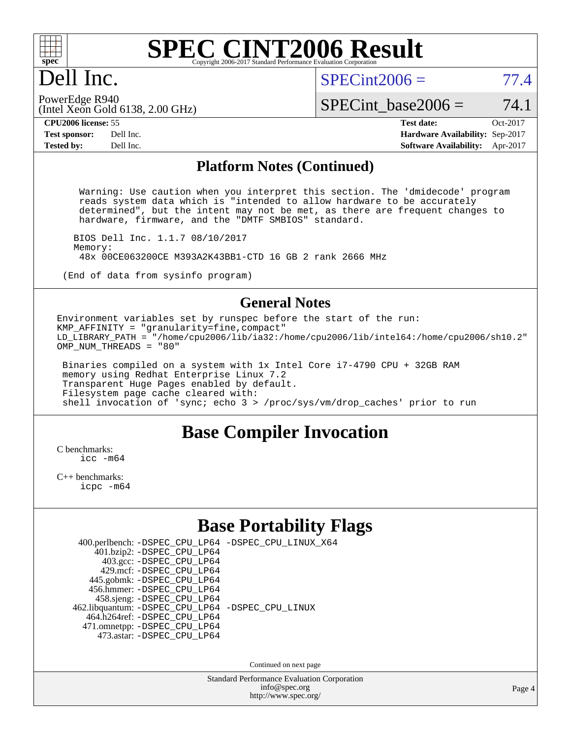

# Dell Inc.

 $SPECint2006 = 77.4$  $SPECint2006 = 77.4$ 

(Intel Xeon Gold 6138, 2.00 GHz) PowerEdge R940

SPECint base2006 =  $74.1$ 

**[CPU2006 license:](http://www.spec.org/auto/cpu2006/Docs/result-fields.html#CPU2006license)** 55 **[Test date:](http://www.spec.org/auto/cpu2006/Docs/result-fields.html#Testdate)** Oct-2017 **[Test sponsor:](http://www.spec.org/auto/cpu2006/Docs/result-fields.html#Testsponsor)** Dell Inc. **[Hardware Availability:](http://www.spec.org/auto/cpu2006/Docs/result-fields.html#HardwareAvailability)** Sep-2017 **[Tested by:](http://www.spec.org/auto/cpu2006/Docs/result-fields.html#Testedby)** Dell Inc. **[Software Availability:](http://www.spec.org/auto/cpu2006/Docs/result-fields.html#SoftwareAvailability)** Apr-2017

#### **[Platform Notes \(Continued\)](http://www.spec.org/auto/cpu2006/Docs/result-fields.html#PlatformNotes)**

 Warning: Use caution when you interpret this section. The 'dmidecode' program reads system data which is "intended to allow hardware to be accurately determined", but the intent may not be met, as there are frequent changes to hardware, firmware, and the "DMTF SMBIOS" standard.

 BIOS Dell Inc. 1.1.7 08/10/2017 Memory: 48x 00CE063200CE M393A2K43BB1-CTD 16 GB 2 rank 2666 MHz

(End of data from sysinfo program)

### **[General Notes](http://www.spec.org/auto/cpu2006/Docs/result-fields.html#GeneralNotes)**

Environment variables set by runspec before the start of the run: KMP\_AFFINITY = "granularity=fine,compact" LD\_LIBRARY\_PATH = "/home/cpu2006/lib/ia32:/home/cpu2006/lib/intel64:/home/cpu2006/sh10.2" OMP\_NUM\_THREADS = "80"

 Binaries compiled on a system with 1x Intel Core i7-4790 CPU + 32GB RAM memory using Redhat Enterprise Linux 7.2 Transparent Huge Pages enabled by default. Filesystem page cache cleared with: shell invocation of 'sync; echo 3 > /proc/sys/vm/drop\_caches' prior to run

## **[Base Compiler Invocation](http://www.spec.org/auto/cpu2006/Docs/result-fields.html#BaseCompilerInvocation)**

[C benchmarks](http://www.spec.org/auto/cpu2006/Docs/result-fields.html#Cbenchmarks): [icc -m64](http://www.spec.org/cpu2006/results/res2017q4/cpu2006-20171114-50553.flags.html#user_CCbase_intel_icc_64bit_bda6cc9af1fdbb0edc3795bac97ada53)

[C++ benchmarks:](http://www.spec.org/auto/cpu2006/Docs/result-fields.html#CXXbenchmarks) [icpc -m64](http://www.spec.org/cpu2006/results/res2017q4/cpu2006-20171114-50553.flags.html#user_CXXbase_intel_icpc_64bit_fc66a5337ce925472a5c54ad6a0de310)

## **[Base Portability Flags](http://www.spec.org/auto/cpu2006/Docs/result-fields.html#BasePortabilityFlags)**

|                                                    | 400.perlbench: -DSPEC_CPU_LP64 -DSPEC_CPU_LINUX_X64 |
|----------------------------------------------------|-----------------------------------------------------|
| 401.bzip2: -DSPEC_CPU_LP64                         |                                                     |
| 403.gcc: -DSPEC_CPU_LP64                           |                                                     |
| 429.mcf: -DSPEC CPU LP64                           |                                                     |
| 445.gobmk: -DSPEC_CPU_LP64                         |                                                     |
| 456.hmmer: - DSPEC CPU LP64                        |                                                     |
| 458.sjeng: -DSPEC_CPU_LP64                         |                                                     |
| 462.libquantum: - DSPEC_CPU_LP64 - DSPEC_CPU_LINUX |                                                     |
| 464.h264ref: -DSPEC CPU LP64                       |                                                     |
| 471.omnetpp: -DSPEC_CPU_LP64                       |                                                     |
| 473.astar: - DSPEC CPU LP64                        |                                                     |
|                                                    |                                                     |

Continued on next page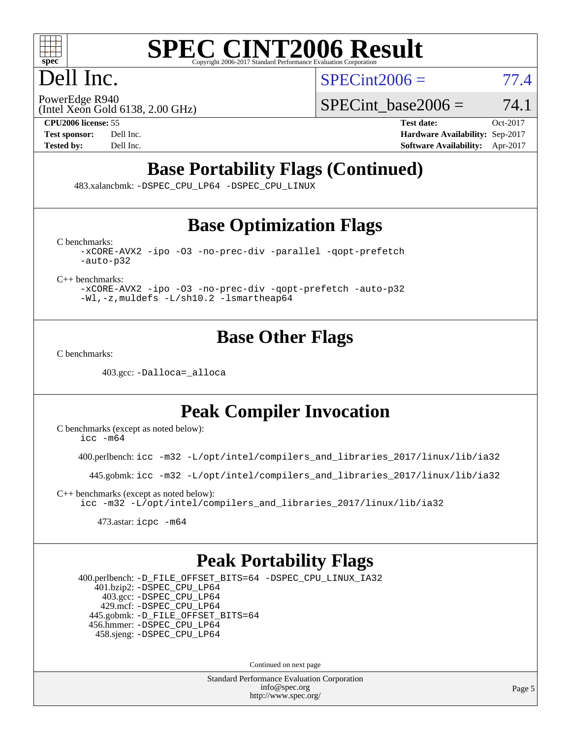

# Dell Inc.

 $SPECint2006 = 77.4$  $SPECint2006 = 77.4$ 

(Intel Xeon Gold 6138, 2.00 GHz) PowerEdge R940

SPECint base2006 =  $74.1$ 

**[CPU2006 license:](http://www.spec.org/auto/cpu2006/Docs/result-fields.html#CPU2006license)** 55 **[Test date:](http://www.spec.org/auto/cpu2006/Docs/result-fields.html#Testdate)** Oct-2017 **[Test sponsor:](http://www.spec.org/auto/cpu2006/Docs/result-fields.html#Testsponsor)** Dell Inc. **[Hardware Availability:](http://www.spec.org/auto/cpu2006/Docs/result-fields.html#HardwareAvailability)** Sep-2017 **[Tested by:](http://www.spec.org/auto/cpu2006/Docs/result-fields.html#Testedby)** Dell Inc. **[Software Availability:](http://www.spec.org/auto/cpu2006/Docs/result-fields.html#SoftwareAvailability)** Apr-2017

# **[Base Portability Flags \(Continued\)](http://www.spec.org/auto/cpu2006/Docs/result-fields.html#BasePortabilityFlags)**

483.xalancbmk: [-DSPEC\\_CPU\\_LP64](http://www.spec.org/cpu2006/results/res2017q4/cpu2006-20171114-50553.flags.html#suite_basePORTABILITY483_xalancbmk_DSPEC_CPU_LP64) [-DSPEC\\_CPU\\_LINUX](http://www.spec.org/cpu2006/results/res2017q4/cpu2006-20171114-50553.flags.html#b483.xalancbmk_baseCXXPORTABILITY_DSPEC_CPU_LINUX)

# **[Base Optimization Flags](http://www.spec.org/auto/cpu2006/Docs/result-fields.html#BaseOptimizationFlags)**

[C benchmarks](http://www.spec.org/auto/cpu2006/Docs/result-fields.html#Cbenchmarks):

[-xCORE-AVX2](http://www.spec.org/cpu2006/results/res2017q4/cpu2006-20171114-50553.flags.html#user_CCbase_f-xCORE-AVX2) [-ipo](http://www.spec.org/cpu2006/results/res2017q4/cpu2006-20171114-50553.flags.html#user_CCbase_f-ipo) [-O3](http://www.spec.org/cpu2006/results/res2017q4/cpu2006-20171114-50553.flags.html#user_CCbase_f-O3) [-no-prec-div](http://www.spec.org/cpu2006/results/res2017q4/cpu2006-20171114-50553.flags.html#user_CCbase_f-no-prec-div) [-parallel](http://www.spec.org/cpu2006/results/res2017q4/cpu2006-20171114-50553.flags.html#user_CCbase_f-parallel) [-qopt-prefetch](http://www.spec.org/cpu2006/results/res2017q4/cpu2006-20171114-50553.flags.html#user_CCbase_f-qopt-prefetch) [-auto-p32](http://www.spec.org/cpu2006/results/res2017q4/cpu2006-20171114-50553.flags.html#user_CCbase_f-auto-p32)

[C++ benchmarks:](http://www.spec.org/auto/cpu2006/Docs/result-fields.html#CXXbenchmarks)

[-xCORE-AVX2](http://www.spec.org/cpu2006/results/res2017q4/cpu2006-20171114-50553.flags.html#user_CXXbase_f-xCORE-AVX2) [-ipo](http://www.spec.org/cpu2006/results/res2017q4/cpu2006-20171114-50553.flags.html#user_CXXbase_f-ipo) [-O3](http://www.spec.org/cpu2006/results/res2017q4/cpu2006-20171114-50553.flags.html#user_CXXbase_f-O3) [-no-prec-div](http://www.spec.org/cpu2006/results/res2017q4/cpu2006-20171114-50553.flags.html#user_CXXbase_f-no-prec-div) [-qopt-prefetch](http://www.spec.org/cpu2006/results/res2017q4/cpu2006-20171114-50553.flags.html#user_CXXbase_f-qopt-prefetch) [-auto-p32](http://www.spec.org/cpu2006/results/res2017q4/cpu2006-20171114-50553.flags.html#user_CXXbase_f-auto-p32) [-Wl,-z,muldefs](http://www.spec.org/cpu2006/results/res2017q4/cpu2006-20171114-50553.flags.html#user_CXXbase_link_force_multiple1_74079c344b956b9658436fd1b6dd3a8a) [-L/sh10.2 -lsmartheap64](http://www.spec.org/cpu2006/results/res2017q4/cpu2006-20171114-50553.flags.html#user_CXXbase_SmartHeap64_63911d860fc08c15fa1d5bf319b9d8d5)

## **[Base Other Flags](http://www.spec.org/auto/cpu2006/Docs/result-fields.html#BaseOtherFlags)**

[C benchmarks](http://www.spec.org/auto/cpu2006/Docs/result-fields.html#Cbenchmarks):

403.gcc: [-Dalloca=\\_alloca](http://www.spec.org/cpu2006/results/res2017q4/cpu2006-20171114-50553.flags.html#b403.gcc_baseEXTRA_CFLAGS_Dalloca_be3056838c12de2578596ca5467af7f3)

# **[Peak Compiler Invocation](http://www.spec.org/auto/cpu2006/Docs/result-fields.html#PeakCompilerInvocation)**

[C benchmarks \(except as noted below\)](http://www.spec.org/auto/cpu2006/Docs/result-fields.html#Cbenchmarksexceptasnotedbelow):  $\text{icc } -\text{m64}$ 

400.perlbench: [icc -m32 -L/opt/intel/compilers\\_and\\_libraries\\_2017/linux/lib/ia32](http://www.spec.org/cpu2006/results/res2017q4/cpu2006-20171114-50553.flags.html#user_peakCCLD400_perlbench_intel_icc_c29f3ff5a7ed067b11e4ec10a03f03ae)

445.gobmk: [icc -m32 -L/opt/intel/compilers\\_and\\_libraries\\_2017/linux/lib/ia32](http://www.spec.org/cpu2006/results/res2017q4/cpu2006-20171114-50553.flags.html#user_peakCCLD445_gobmk_intel_icc_c29f3ff5a7ed067b11e4ec10a03f03ae)

[C++ benchmarks \(except as noted below\):](http://www.spec.org/auto/cpu2006/Docs/result-fields.html#CXXbenchmarksexceptasnotedbelow) [icc -m32 -L/opt/intel/compilers\\_and\\_libraries\\_2017/linux/lib/ia32](http://www.spec.org/cpu2006/results/res2017q4/cpu2006-20171114-50553.flags.html#user_CXXpeak_intel_icc_c29f3ff5a7ed067b11e4ec10a03f03ae)

473.astar: [icpc -m64](http://www.spec.org/cpu2006/results/res2017q4/cpu2006-20171114-50553.flags.html#user_peakCXXLD473_astar_intel_icpc_64bit_fc66a5337ce925472a5c54ad6a0de310)

## **[Peak Portability Flags](http://www.spec.org/auto/cpu2006/Docs/result-fields.html#PeakPortabilityFlags)**

 400.perlbench: [-D\\_FILE\\_OFFSET\\_BITS=64](http://www.spec.org/cpu2006/results/res2017q4/cpu2006-20171114-50553.flags.html#user_peakPORTABILITY400_perlbench_file_offset_bits_64_438cf9856305ebd76870a2c6dc2689ab) [-DSPEC\\_CPU\\_LINUX\\_IA32](http://www.spec.org/cpu2006/results/res2017q4/cpu2006-20171114-50553.flags.html#b400.perlbench_peakCPORTABILITY_DSPEC_CPU_LINUX_IA32) 401.bzip2: [-DSPEC\\_CPU\\_LP64](http://www.spec.org/cpu2006/results/res2017q4/cpu2006-20171114-50553.flags.html#suite_peakPORTABILITY401_bzip2_DSPEC_CPU_LP64) 403.gcc: [-DSPEC\\_CPU\\_LP64](http://www.spec.org/cpu2006/results/res2017q4/cpu2006-20171114-50553.flags.html#suite_peakPORTABILITY403_gcc_DSPEC_CPU_LP64) 429.mcf: [-DSPEC\\_CPU\\_LP64](http://www.spec.org/cpu2006/results/res2017q4/cpu2006-20171114-50553.flags.html#suite_peakPORTABILITY429_mcf_DSPEC_CPU_LP64) 445.gobmk: [-D\\_FILE\\_OFFSET\\_BITS=64](http://www.spec.org/cpu2006/results/res2017q4/cpu2006-20171114-50553.flags.html#user_peakPORTABILITY445_gobmk_file_offset_bits_64_438cf9856305ebd76870a2c6dc2689ab) 456.hmmer: [-DSPEC\\_CPU\\_LP64](http://www.spec.org/cpu2006/results/res2017q4/cpu2006-20171114-50553.flags.html#suite_peakPORTABILITY456_hmmer_DSPEC_CPU_LP64) 458.sjeng: [-DSPEC\\_CPU\\_LP64](http://www.spec.org/cpu2006/results/res2017q4/cpu2006-20171114-50553.flags.html#suite_peakPORTABILITY458_sjeng_DSPEC_CPU_LP64)

Continued on next page

Standard Performance Evaluation Corporation [info@spec.org](mailto:info@spec.org) <http://www.spec.org/>

Page 5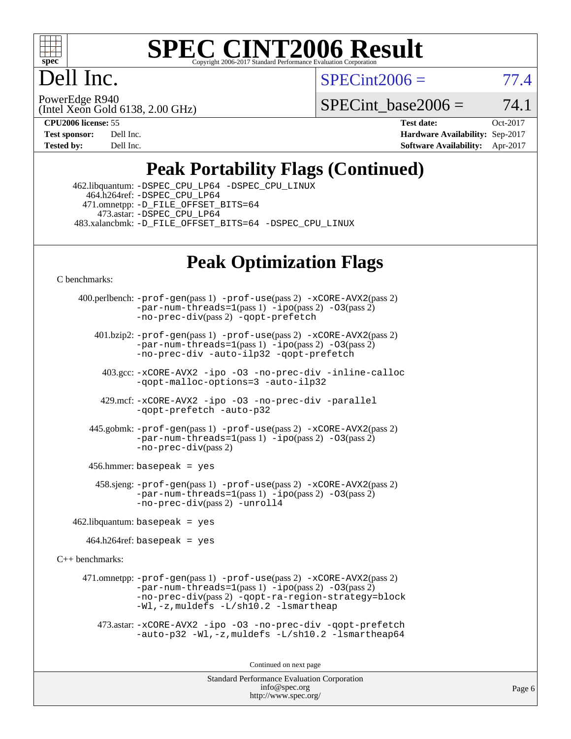

Dell Inc.

 $SPECint2006 = 77.4$  $SPECint2006 = 77.4$ 

(Intel Xeon Gold 6138, 2.00 GHz) PowerEdge R940

SPECint base2006 =  $74.1$ 

**[CPU2006 license:](http://www.spec.org/auto/cpu2006/Docs/result-fields.html#CPU2006license)** 55 **[Test date:](http://www.spec.org/auto/cpu2006/Docs/result-fields.html#Testdate)** Oct-2017 **[Test sponsor:](http://www.spec.org/auto/cpu2006/Docs/result-fields.html#Testsponsor)** Dell Inc. **[Hardware Availability:](http://www.spec.org/auto/cpu2006/Docs/result-fields.html#HardwareAvailability)** Sep-2017 **[Tested by:](http://www.spec.org/auto/cpu2006/Docs/result-fields.html#Testedby)** Dell Inc. **[Software Availability:](http://www.spec.org/auto/cpu2006/Docs/result-fields.html#SoftwareAvailability)** Apr-2017

# **[Peak Portability Flags \(Continued\)](http://www.spec.org/auto/cpu2006/Docs/result-fields.html#PeakPortabilityFlags)**

 462.libquantum: [-DSPEC\\_CPU\\_LP64](http://www.spec.org/cpu2006/results/res2017q4/cpu2006-20171114-50553.flags.html#suite_peakPORTABILITY462_libquantum_DSPEC_CPU_LP64) [-DSPEC\\_CPU\\_LINUX](http://www.spec.org/cpu2006/results/res2017q4/cpu2006-20171114-50553.flags.html#b462.libquantum_peakCPORTABILITY_DSPEC_CPU_LINUX) 464.h264ref: [-DSPEC\\_CPU\\_LP64](http://www.spec.org/cpu2006/results/res2017q4/cpu2006-20171114-50553.flags.html#suite_peakPORTABILITY464_h264ref_DSPEC_CPU_LP64) 471.omnetpp: [-D\\_FILE\\_OFFSET\\_BITS=64](http://www.spec.org/cpu2006/results/res2017q4/cpu2006-20171114-50553.flags.html#user_peakPORTABILITY471_omnetpp_file_offset_bits_64_438cf9856305ebd76870a2c6dc2689ab) 473.astar: [-DSPEC\\_CPU\\_LP64](http://www.spec.org/cpu2006/results/res2017q4/cpu2006-20171114-50553.flags.html#suite_peakPORTABILITY473_astar_DSPEC_CPU_LP64) 483.xalancbmk: [-D\\_FILE\\_OFFSET\\_BITS=64](http://www.spec.org/cpu2006/results/res2017q4/cpu2006-20171114-50553.flags.html#user_peakPORTABILITY483_xalancbmk_file_offset_bits_64_438cf9856305ebd76870a2c6dc2689ab) [-DSPEC\\_CPU\\_LINUX](http://www.spec.org/cpu2006/results/res2017q4/cpu2006-20171114-50553.flags.html#b483.xalancbmk_peakCXXPORTABILITY_DSPEC_CPU_LINUX)

# **[Peak Optimization Flags](http://www.spec.org/auto/cpu2006/Docs/result-fields.html#PeakOptimizationFlags)**

[C benchmarks](http://www.spec.org/auto/cpu2006/Docs/result-fields.html#Cbenchmarks):

 400.perlbench: [-prof-gen](http://www.spec.org/cpu2006/results/res2017q4/cpu2006-20171114-50553.flags.html#user_peakPASS1_CFLAGSPASS1_LDCFLAGS400_perlbench_prof_gen_e43856698f6ca7b7e442dfd80e94a8fc)(pass 1) [-prof-use](http://www.spec.org/cpu2006/results/res2017q4/cpu2006-20171114-50553.flags.html#user_peakPASS2_CFLAGSPASS2_LDCFLAGS400_perlbench_prof_use_bccf7792157ff70d64e32fe3e1250b55)(pass 2) [-xCORE-AVX2](http://www.spec.org/cpu2006/results/res2017q4/cpu2006-20171114-50553.flags.html#user_peakPASS2_CFLAGSPASS2_LDCFLAGS400_perlbench_f-xCORE-AVX2)(pass 2)  $-par-num-threads=1(pass 1) -ipo(pass 2) -O3(pass 2)$  $-par-num-threads=1(pass 1) -ipo(pass 2) -O3(pass 2)$  $-par-num-threads=1(pass 1) -ipo(pass 2) -O3(pass 2)$  $-par-num-threads=1(pass 1) -ipo(pass 2) -O3(pass 2)$  $-par-num-threads=1(pass 1) -ipo(pass 2) -O3(pass 2)$  $-par-num-threads=1(pass 1) -ipo(pass 2) -O3(pass 2)$ [-no-prec-div](http://www.spec.org/cpu2006/results/res2017q4/cpu2006-20171114-50553.flags.html#user_peakPASS2_CFLAGSPASS2_LDCFLAGS400_perlbench_f-no-prec-div)(pass 2) [-qopt-prefetch](http://www.spec.org/cpu2006/results/res2017q4/cpu2006-20171114-50553.flags.html#user_peakCOPTIMIZE400_perlbench_f-qopt-prefetch) 401.bzip2: [-prof-gen](http://www.spec.org/cpu2006/results/res2017q4/cpu2006-20171114-50553.flags.html#user_peakPASS1_CFLAGSPASS1_LDCFLAGS401_bzip2_prof_gen_e43856698f6ca7b7e442dfd80e94a8fc)(pass 1) [-prof-use](http://www.spec.org/cpu2006/results/res2017q4/cpu2006-20171114-50553.flags.html#user_peakPASS2_CFLAGSPASS2_LDCFLAGS401_bzip2_prof_use_bccf7792157ff70d64e32fe3e1250b55)(pass 2) [-xCORE-AVX2](http://www.spec.org/cpu2006/results/res2017q4/cpu2006-20171114-50553.flags.html#user_peakPASS2_CFLAGSPASS2_LDCFLAGS401_bzip2_f-xCORE-AVX2)(pass 2) [-par-num-threads=1](http://www.spec.org/cpu2006/results/res2017q4/cpu2006-20171114-50553.flags.html#user_peakPASS1_CFLAGSPASS1_LDCFLAGS401_bzip2_par_num_threads_786a6ff141b4e9e90432e998842df6c2)(pass 1) [-ipo](http://www.spec.org/cpu2006/results/res2017q4/cpu2006-20171114-50553.flags.html#user_peakPASS2_CFLAGSPASS2_LDCFLAGS401_bzip2_f-ipo)(pass 2) [-O3](http://www.spec.org/cpu2006/results/res2017q4/cpu2006-20171114-50553.flags.html#user_peakPASS2_CFLAGSPASS2_LDCFLAGS401_bzip2_f-O3)(pass 2) [-no-prec-div](http://www.spec.org/cpu2006/results/res2017q4/cpu2006-20171114-50553.flags.html#user_peakCOPTIMIZEPASS2_CFLAGSPASS2_LDCFLAGS401_bzip2_f-no-prec-div) [-auto-ilp32](http://www.spec.org/cpu2006/results/res2017q4/cpu2006-20171114-50553.flags.html#user_peakCOPTIMIZE401_bzip2_f-auto-ilp32) [-qopt-prefetch](http://www.spec.org/cpu2006/results/res2017q4/cpu2006-20171114-50553.flags.html#user_peakCOPTIMIZE401_bzip2_f-qopt-prefetch) 403.gcc: [-xCORE-AVX2](http://www.spec.org/cpu2006/results/res2017q4/cpu2006-20171114-50553.flags.html#user_peakOPTIMIZE403_gcc_f-xCORE-AVX2) [-ipo](http://www.spec.org/cpu2006/results/res2017q4/cpu2006-20171114-50553.flags.html#user_peakOPTIMIZE403_gcc_f-ipo) [-O3](http://www.spec.org/cpu2006/results/res2017q4/cpu2006-20171114-50553.flags.html#user_peakOPTIMIZE403_gcc_f-O3) [-no-prec-div](http://www.spec.org/cpu2006/results/res2017q4/cpu2006-20171114-50553.flags.html#user_peakOPTIMIZE403_gcc_f-no-prec-div) [-inline-calloc](http://www.spec.org/cpu2006/results/res2017q4/cpu2006-20171114-50553.flags.html#user_peakCOPTIMIZE403_gcc_f-inline-calloc) [-qopt-malloc-options=3](http://www.spec.org/cpu2006/results/res2017q4/cpu2006-20171114-50553.flags.html#user_peakCOPTIMIZE403_gcc_f-qopt-malloc-options_0fcb435012e78f27d57f473818e45fe4) [-auto-ilp32](http://www.spec.org/cpu2006/results/res2017q4/cpu2006-20171114-50553.flags.html#user_peakCOPTIMIZE403_gcc_f-auto-ilp32) 429.mcf: [-xCORE-AVX2](http://www.spec.org/cpu2006/results/res2017q4/cpu2006-20171114-50553.flags.html#user_peakOPTIMIZE429_mcf_f-xCORE-AVX2) [-ipo](http://www.spec.org/cpu2006/results/res2017q4/cpu2006-20171114-50553.flags.html#user_peakOPTIMIZE429_mcf_f-ipo) [-O3](http://www.spec.org/cpu2006/results/res2017q4/cpu2006-20171114-50553.flags.html#user_peakOPTIMIZE429_mcf_f-O3) [-no-prec-div](http://www.spec.org/cpu2006/results/res2017q4/cpu2006-20171114-50553.flags.html#user_peakOPTIMIZE429_mcf_f-no-prec-div) [-parallel](http://www.spec.org/cpu2006/results/res2017q4/cpu2006-20171114-50553.flags.html#user_peakCOPTIMIZE429_mcf_f-parallel) [-qopt-prefetch](http://www.spec.org/cpu2006/results/res2017q4/cpu2006-20171114-50553.flags.html#user_peakCOPTIMIZE429_mcf_f-qopt-prefetch) [-auto-p32](http://www.spec.org/cpu2006/results/res2017q4/cpu2006-20171114-50553.flags.html#user_peakCOPTIMIZE429_mcf_f-auto-p32) 445.gobmk: [-prof-gen](http://www.spec.org/cpu2006/results/res2017q4/cpu2006-20171114-50553.flags.html#user_peakPASS1_CFLAGSPASS1_LDCFLAGS445_gobmk_prof_gen_e43856698f6ca7b7e442dfd80e94a8fc)(pass 1) [-prof-use](http://www.spec.org/cpu2006/results/res2017q4/cpu2006-20171114-50553.flags.html#user_peakPASS2_CFLAGSPASS2_LDCFLAGS445_gobmk_prof_use_bccf7792157ff70d64e32fe3e1250b55)(pass 2) [-xCORE-AVX2](http://www.spec.org/cpu2006/results/res2017q4/cpu2006-20171114-50553.flags.html#user_peakPASS2_CFLAGSPASS2_LDCFLAGS445_gobmk_f-xCORE-AVX2)(pass 2)  $-par-num-threads=1(pass 1) -ipo(pass 2) -O3(pass 2)$  $-par-num-threads=1(pass 1) -ipo(pass 2) -O3(pass 2)$  $-par-num-threads=1(pass 1) -ipo(pass 2) -O3(pass 2)$  $-par-num-threads=1(pass 1) -ipo(pass 2) -O3(pass 2)$  $-par-num-threads=1(pass 1) -ipo(pass 2) -O3(pass 2)$  $-par-num-threads=1(pass 1) -ipo(pass 2) -O3(pass 2)$ [-no-prec-div](http://www.spec.org/cpu2006/results/res2017q4/cpu2006-20171114-50553.flags.html#user_peakPASS2_CFLAGSPASS2_LDCFLAGS445_gobmk_f-no-prec-div)(pass 2) 456.hmmer: basepeak = yes 458.sjeng: [-prof-gen](http://www.spec.org/cpu2006/results/res2017q4/cpu2006-20171114-50553.flags.html#user_peakPASS1_CFLAGSPASS1_LDCFLAGS458_sjeng_prof_gen_e43856698f6ca7b7e442dfd80e94a8fc)(pass 1) [-prof-use](http://www.spec.org/cpu2006/results/res2017q4/cpu2006-20171114-50553.flags.html#user_peakPASS2_CFLAGSPASS2_LDCFLAGS458_sjeng_prof_use_bccf7792157ff70d64e32fe3e1250b55)(pass 2) [-xCORE-AVX2](http://www.spec.org/cpu2006/results/res2017q4/cpu2006-20171114-50553.flags.html#user_peakPASS2_CFLAGSPASS2_LDCFLAGS458_sjeng_f-xCORE-AVX2)(pass 2)  $-par-num-threads=1(pass 1) -ipo(pass 2) -O3(pass 2)$  $-par-num-threads=1(pass 1) -ipo(pass 2) -O3(pass 2)$  $-par-num-threads=1(pass 1) -ipo(pass 2) -O3(pass 2)$  $-par-num-threads=1(pass 1) -ipo(pass 2) -O3(pass 2)$  $-par-num-threads=1(pass 1) -ipo(pass 2) -O3(pass 2)$  $-par-num-threads=1(pass 1) -ipo(pass 2) -O3(pass 2)$ [-no-prec-div](http://www.spec.org/cpu2006/results/res2017q4/cpu2006-20171114-50553.flags.html#user_peakPASS2_CFLAGSPASS2_LDCFLAGS458_sjeng_f-no-prec-div)(pass 2) [-unroll4](http://www.spec.org/cpu2006/results/res2017q4/cpu2006-20171114-50553.flags.html#user_peakCOPTIMIZE458_sjeng_f-unroll_4e5e4ed65b7fd20bdcd365bec371b81f)  $462$ .libquantum: basepeak = yes  $464.h264$ ref: basepeak = yes [C++ benchmarks:](http://www.spec.org/auto/cpu2006/Docs/result-fields.html#CXXbenchmarks) 471.omnetpp: [-prof-gen](http://www.spec.org/cpu2006/results/res2017q4/cpu2006-20171114-50553.flags.html#user_peakPASS1_CXXFLAGSPASS1_LDCXXFLAGS471_omnetpp_prof_gen_e43856698f6ca7b7e442dfd80e94a8fc)(pass 1) [-prof-use](http://www.spec.org/cpu2006/results/res2017q4/cpu2006-20171114-50553.flags.html#user_peakPASS2_CXXFLAGSPASS2_LDCXXFLAGS471_omnetpp_prof_use_bccf7792157ff70d64e32fe3e1250b55)(pass 2) [-xCORE-AVX2](http://www.spec.org/cpu2006/results/res2017q4/cpu2006-20171114-50553.flags.html#user_peakPASS2_CXXFLAGSPASS2_LDCXXFLAGS471_omnetpp_f-xCORE-AVX2)(pass 2)  $-par-num-threads=1(pass 1) -ipo(pass 2) -O3(pass 2)$  $-par-num-threads=1(pass 1) -ipo(pass 2) -O3(pass 2)$  $-par-num-threads=1(pass 1) -ipo(pass 2) -O3(pass 2)$  $-par-num-threads=1(pass 1) -ipo(pass 2) -O3(pass 2)$  $-par-num-threads=1(pass 1) -ipo(pass 2) -O3(pass 2)$  $-par-num-threads=1(pass 1) -ipo(pass 2) -O3(pass 2)$ [-no-prec-div](http://www.spec.org/cpu2006/results/res2017q4/cpu2006-20171114-50553.flags.html#user_peakPASS2_CXXFLAGSPASS2_LDCXXFLAGS471_omnetpp_f-no-prec-div)(pass 2) [-qopt-ra-region-strategy=block](http://www.spec.org/cpu2006/results/res2017q4/cpu2006-20171114-50553.flags.html#user_peakCXXOPTIMIZE471_omnetpp_f-qopt-ra-region-strategy_0f7b543d62da454b380160c0e3b28f94) [-Wl,-z,muldefs](http://www.spec.org/cpu2006/results/res2017q4/cpu2006-20171114-50553.flags.html#user_peakEXTRA_LDFLAGS471_omnetpp_link_force_multiple1_74079c344b956b9658436fd1b6dd3a8a) [-L/sh10.2 -lsmartheap](http://www.spec.org/cpu2006/results/res2017q4/cpu2006-20171114-50553.flags.html#user_peakEXTRA_LIBS471_omnetpp_SmartHeap_b831f2d313e2fffa6dfe3f00ffc1f1c0) 473.astar: [-xCORE-AVX2](http://www.spec.org/cpu2006/results/res2017q4/cpu2006-20171114-50553.flags.html#user_peakOPTIMIZE473_astar_f-xCORE-AVX2) [-ipo](http://www.spec.org/cpu2006/results/res2017q4/cpu2006-20171114-50553.flags.html#user_peakOPTIMIZE473_astar_f-ipo) [-O3](http://www.spec.org/cpu2006/results/res2017q4/cpu2006-20171114-50553.flags.html#user_peakOPTIMIZE473_astar_f-O3) [-no-prec-div](http://www.spec.org/cpu2006/results/res2017q4/cpu2006-20171114-50553.flags.html#user_peakOPTIMIZE473_astar_f-no-prec-div) [-qopt-prefetch](http://www.spec.org/cpu2006/results/res2017q4/cpu2006-20171114-50553.flags.html#user_peakCXXOPTIMIZE473_astar_f-qopt-prefetch) [-auto-p32](http://www.spec.org/cpu2006/results/res2017q4/cpu2006-20171114-50553.flags.html#user_peakCXXOPTIMIZE473_astar_f-auto-p32) [-Wl,-z,muldefs](http://www.spec.org/cpu2006/results/res2017q4/cpu2006-20171114-50553.flags.html#user_peakEXTRA_LDFLAGS473_astar_link_force_multiple1_74079c344b956b9658436fd1b6dd3a8a) [-L/sh10.2 -lsmartheap64](http://www.spec.org/cpu2006/results/res2017q4/cpu2006-20171114-50553.flags.html#user_peakEXTRA_LIBS473_astar_SmartHeap64_63911d860fc08c15fa1d5bf319b9d8d5) Continued on next page